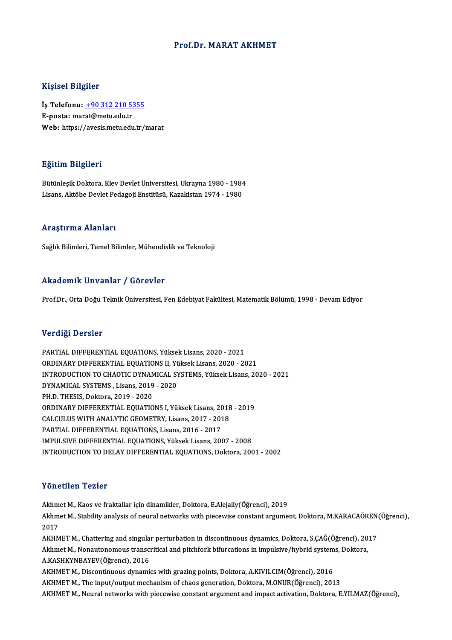### Prof.Dr.MARAT AKHMET

### Kişisel Bilgiler

Kişisel Bilgiler<br>İş Telefonu: <u>+90 312 210 5355</u><br>E nosta: marat@matu.odu.tr 11191001 D1191101<br>İş Telefonu: <u>+90 312 210 53</u><br>E-posta: mar[at@metu.edu.tr](tel:+90 312 210 5355) E-posta: marat@metu.edu.tr<br>Web: https://avesis.metu.edu.tr/marat

### Eğitim Bilgileri

BütünleşikDoktora,KievDevletÜniversitesi,Ukrayna 1980 -1984 Lisans, Aktöbe Devlet Pedagoji Enstitüsü, Kazakistan 1974 - 1980

### Araştırma Alanları

Sağlık Bilimleri, Temel Bilimler, Mühendislik ve Teknoloji

### Akademik Unvanlar / Görevler

Prof.Dr., Orta Doğu Teknik Üniversitesi, Fen Edebiyat Fakültesi, Matematik Bölümü, 1998 - Devam Ediyor

### Verdiği Dersler

PARTIAL DIFFERENTIAL EQUATIONS, Yüksek Lisans, 2020 - 2021 ORDINARY DIFFERENTIAL EQUATIONS II, Yüksek Lisans, 2020 - 2021 PARTIAL DIFFERENTIAL EQUATIONS, Yüksek Lisans, 2020 - 2021<br>ORDINARY DIFFERENTIAL EQUATIONS II, Yüksek Lisans, 2020 - 2021<br>INTRODUCTION TO CHAOTIC DYNAMICAL SYSTEMS, Yüksek Lisans, 2020 - 2021<br>DYNAMICAL SYSTEMS, Lisans, 201 ORDINARY DIFFERENTIAL EQUATIONS II, YUNITADUCTION TO CHAOTIC DYNAMICAL SY<br>DYNAMICAL SYSTEMS , Lisans, 2019 - 2020<br>PH D. THESIS, Delters, 2019, 2020 INTRODUCTION TO CHAOTIC DYNAM<br>DYNAMICAL SYSTEMS , Lisans, 2019<br>PH.D. THESIS, Doktora, 2019 - 2020<br>OPDINARY DIEEERENTIAL FOUATIO DYNAMICAL SYSTEMS , Lisans, 2019 - 2020<br>PH.D. THESIS, Doktora, 2019 - 2020<br>ORDINARY DIFFERENTIAL EQUATIONS I, Yüksek Lisans, 2018 - 2019<br>CALCULUS WITH ANALYTIC CEOMETRY Lisans, 2017, -2019 PH.D. THESIS, Doktora, 2019 - 2020<br>ORDINARY DIFFERENTIAL EQUATIONS I, Yüksek Lisans, 2018<br>CALCULUS WITH ANALYTIC GEOMETRY, Lisans, 2017 - 2018<br>RARTIAL DIEEERENTIAL EQUATIONS, Lisans, 2016 - 2017 ORDINARY DIFFERENTIAL EQUATIONS I, Yüksek Lisans, 20<br>CALCULUS WITH ANALYTIC GEOMETRY, Lisans, 2017 - 201<br>PARTIAL DIFFERENTIAL EQUATIONS, Lisans, 2016 - 2017<br>IMBULSIVE DIEFERENTIAL FOUATIONS, Välgek Lisans, 201 CALCULUS WITH ANALYTIC GEOMETRY, Lisans, 2017 - 2018<br>PARTIAL DIFFERENTIAL EQUATIONS, Lisans, 2016 - 2017<br>IMPULSIVE DIFFERENTIAL EQUATIONS, Yüksek Lisans, 2007 - 2008 INTRODUCTION TO DELAY DIFFERENTIAL EQUATIONS, Doktora, 2001 - 2002

### Yönetilen Tezler

**Yönetilen Tezler<br>Akhmet M., Kaos ve fraktallar için dinamikler, Doktora, E.Alejaily(Öğrenci), 2019<br>Akhmet M. Stability analysis of naural natysyks with niasswise senstant argume** Akhmet M., Stability analysis of neural networks with piecewise constant argument, Doktora, M.KARACAÖREN(Öğrenci),<br>2017 Akhm<br>Akhm<br>2017<br>AVHM Akhmet M., Stability analysis of neural networks with piecewise constant argument, Doktora, M.KARACAÖREN<br>2017<br>AKHMET M., Chattering and singular perturbation in discontinuous dynamics, Doktora, S.ÇAĞ(Öğrenci), 2017<br>Akhmet 2017<br>AKHMET M., Chattering and singular perturbation in discontinuous dynamics, Doktora, S.ÇAĞ(Öğrenci), 20<br>Akhmet M., Nonautonomous transcritical and pitchfork bifurcations in impulsive/hybrid systems, Doktora,<br>A.VASHKYNP AKHMET M., Chattering and singula:<br>Akhmet M., Nonautonomous transci<br>A.KASHKYNBAYEV(Öğrenci), 2016<br>AKHMET M. Discontinuous dunomi Akhmet M., Nonautonomous transcritical and pitchfork bifurcations in impulsive/hybrid systems, Doktora,<br>A.KASHKYNBAYEV(Öğrenci), 2016<br>AKHMET M., Discontinuous dynamics with grazing points, Doktora, A.KIVILCIM(Öğrenci), 201 AKHMET M., The input/output mechanism of chaos generation, Doktora, M.ONUR(Öğrenci), 2013 AKHMETM., Neural networks with piecewise constant argument and impact activation, Doktora, E.YILMAZ(Öğrenci),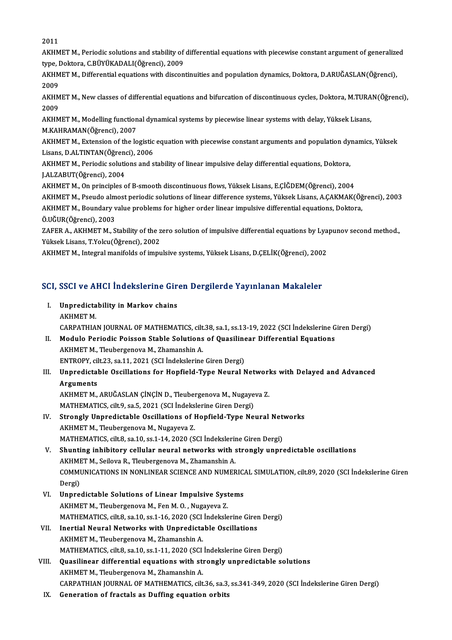2011

2011<br>AKHMET M., Periodic solutions and stability of differential equations with piecewise constant argument of generalized<br>time, Rektore, G BüyükADALI(Öğrengi), 2000 2011<br>AKHMET M., Periodic solutions and stability of<br>type, Doktora, C.BÜYÜKADALI(Öğrenci), 2009<br>AKHMET M., Differential equations with dissen AKHMET M., Periodic solutions and stability of differential equations with piecewise constant argument of generalize<br>type, Doktora, C.BÜYÜKADALI(Öğrenci), 2009<br>AKHMET M., Differential equations with discontinuities and pop

type, Doktora, C.BÜYÜKADALI(Öğrenci), 2009<br>AKHMET M., Differential equations with discontinuities and population dynamics, Doktora, D.ARUĞASLAN(Öğrenci),<br>2009 AKHMET M., Differential equations with discontinuities and population dynamics, Doktora, D.ARUĞASLAN(Öğrenci),<br>2009<br>AKHMET M., New classes of differential equations and bifurcation of discontinuous cycles, Doktora, M.TURAN

2009<br>AKHM<br>2009<br>AKHM AKHMET M., New classes of differential equations and bifurcation of discontinuous cycles, Doktora, M.TURA<br>2009<br>AKHMET M., Modelling functional dynamical systems by piecewise linear systems with delay, Yüksek Lisans,<br>M.KAHP

2009<br>AKHMET M., Modelling functional dynamical systems by piecewise linear systems with delay, Yüksek Lisans,<br>M.KAHRAMAN(Öğrenci), 2007 AKHMET M., Modelling functional dynamical systems by piecewise linear systems with delay, Yüksek Lisans,<br>M.KAHRAMAN(Öğrenci), 2007<br>AKHMET M., Extension of the logistic equation with piecewise constant arguments and populat

M.KAHRAMAN(Öğrenci), 2007<br>AKHMET M., Extension of the logistic<br>Lisans, D.ALTINTAN(Öğrenci), 2006<br>AKHMET M. Periodis selutions and s AKHMET M., Extension of the logistic equation with piecewise constant arguments and population dy<br>Lisans, D.ALTINTAN(Öğrenci), 2006<br>AKHMET M., Periodic solutions and stability of linear impulsive delay differential equatio

Lisans, D.ALTINTAN(Öğrenci), 2006<br>AKHMET M., Periodic solutions and stability of linear impulsive delay differential equations, Doktora,<br>J.ALZABUT(Öğrenci), 2004 AKHMET M., Periodic solutions and stability of linear impulsive delay differential equations, Doktora,<br>J.ALZABUT(Öğrenci), 2004<br>AKHMET M., On principles of B-smooth discontinuous flows, Yüksek Lisans, E.ÇİĞDEM(Öğrenci), 20

J.ALZABUT(Öğrenci), 2004<br>AKHMET M., On principles of B-smooth discontinuous flows, Yüksek Lisans, E.ÇİĞDEM(Öğrenci), 2004<br>AKHMET M., Pseudo almost periodic solutions of linear difference systems, Yüksek Lisans, A.ÇAKMAK(Öğ

AKHMET M., On principles of B-smooth discontinuous flows, Yüksek Lisans, E.ÇİĞDEM(Öğrenci), 2004<br>AKHMET M., Pseudo almost periodic solutions of linear difference systems, Yüksek Lisans, A.ÇAKMAK(Öğ<br>AKHMET M., Boundary valu AKHMET M., Pseudo alm<br>AKHMET M., Boundary v<br>Ö.UĞUR(Öğrenci), 2003<br>ZAEED A. A*V*HMET M. S AKHMET M., Boundary value problems for higher order linear impulsive differential equations, Doktora,<br>Ö.UĞUR(Öğrenci), 2003<br>ZAFER A., AKHMET M., Stability of the zero solution of impulsive differential equations by Lyapuno

YüksekLisans,T.Yolcu(Öğrenci),2002

AKHMET M., Integral manifolds of impulsive systems, Yüksek Lisans, D.ÇELİK(Öğrenci), 2002

# AKHMEI M., Integral mannolds of impulsive systems, ruksek Lisans, D.ÇELIK(Ogrenci), 200.<br>SCI, SSCI ve AHCI İndekslerine Giren Dergilerde Yayınlanan Makaleler

| CI, SSCI ve AHCI İndekslerine Giren Dergilerde Yayınlanan Makaleler                             |
|-------------------------------------------------------------------------------------------------|
| I. Unpredictability in Markov chains<br>AKHMET M.                                               |
| CARPATHIAN JOURNAL OF MATHEMATICS, cilt.38, sa.1, ss.13-19, 2022 (SCI Indekslerine Giren Dergi) |
| Madula Daviadia Daissan Ctable Calutians of Quasilinear Differential Paustians                  |

- II. Modulo Periodic Poisson Stable Solutions of Quasilinear Differential Equations AKHMET M., Tleubergenova M., Zhamanshin A. Modulo Periodic Poisson Stable Solutions of Quasiline<br>AKHMET M., Tleubergenova M., Zhamanshin A.<br>ENTROPY, cilt.23, sa.11, 2021 (SCI İndekslerine Giren Dergi)<br>Unnredistable Oscillations for Honfield Tune Neuval N
- AKHMET M., Tleubergenova M., Zhamanshin A.<br>ENTROPY, cilt.23, sa.11, 2021 (SCI İndekslerine Giren Dergi)<br>III. Unpredictable Oscillations for Hopfield-Type Neural Networks with Delayed and Advanced<br>Arguments ENTROPY, cil<br>Unpredictal<br>Arguments<br>AVUMET M Unpredictable Oscillations for Hopfield-Type Neural Networl<br>Arguments<br>AKHMET M., ARUĞASLAN ÇİNÇİN D., Tleubergenova M., Nugayeva Z.<br>MATUEMATICS silt 9, 28 E. 2021 (SCI İndekslerine Giren Dergi)

Arguments<br>AKHMET M., ARUĞASLAN ÇİNÇİN D., Tleubergenova M., Nugayeva Z.<br>MATHEMATICS, cilt.9, sa.5, 2021 (SCI İndekslerine Giren Dergi) AKHMET M., ARUĞASLAN ÇİNÇİN D., Tleubergenova M., Nugayeva Z.<br>MATHEMATICS, cilt.9, sa.5, 2021 (SCI İndekslerine Giren Dergi)<br>IV. Strongly Unpredictable Oscillations of Hopfield-Type Neural Networks

MATHEMATICS, cilt.9, sa.5, 2021 (SCI İndeks<br>Strongly Unpredictable Oscillations of I<br>AKHMET M., Tleubergenova M., Nugayeva Z.<br>MATHEMATICS, cilt.8, sa.1.0, ss.1, 1, 1, 2020 (S. Strongly Unpredictable Oscillations of Hopfield-Type Neural Net<br>AKHMET M., Tleubergenova M., Nugayeva Z.<br>MATHEMATICS, cilt.8, sa.10, ss.1-14, 2020 (SCI İndekslerine Giren Dergi)<br>Shunting inhibitory collular noural networks AKHMET M., Tleubergenova M., Nugayeva Z.<br>MATHEMATICS, cilt.8, sa.10, ss.1-14, 2020 (SCI Indekslerine Giren Dergi)<br>V. Shunting inhibitory cellular neural networks with strongly unpredictable oscillations

AKHMET M., Seilova R., Tleubergenova M., Zhamanshin A. Shunting inhibitory cellular neural networks with strongly unpredictable oscillations<br>AKHMET M., Seilova R., Tleubergenova M., Zhamanshin A.<br>COMMUNICATIONS IN NONLINEAR SCIENCE AND NUMERICAL SIMULATION, cilt.89, 2020 (SCI AKHMI<br>COMMI<br>Dergi)<br>Unnre COMMUNICATIONS IN NONLINEAR SCIENCE AND NUMERIC.<br>Dergi)<br>VI. Unpredictable Solutions of Linear Impulsive Systems<br>AVUMET M. Thubersonew M. For M.O. Nugayaya 7

- Dergi)<br>Unpredictable Solutions of Linear Impulsive Syst<br>AKHMET M., Tleubergenova M., Fen M. O. , Nugayeva Z.<br>MATHEMATICS, silt 9, ss 10, ss 1 16, 2020 (SCL indeksle AKHMET M., Tleubergenova M., Fen M. O. , Nugayeva Z.<br>MATHEMATICS, cilt.8, sa.10, ss.1-16, 2020 (SCI İndekslerine Giren Dergi) AKHMET M., Tleubergenova M., Fen M. O., Nugayeva Z.<br>MATHEMATICS, cilt.8, sa.10, ss.1-16, 2020 (SCI Indekslerine Girer<br>VII. Inertial Neural Networks with Unpredictable Oscillations
- MATHEMATICS, cilt.8, sa.10, ss.1-16, 2020 (SCI<br>Inertial Neural Networks with Unpredicta<br>AKHMET M., Tleubergenova M., Zhamanshin A.<br>MATHEMATICS, silt 8, sa.10, ss.1.11, 2020 (SCI Inertial Neural Networks with Unpredictable Oscillations<br>AKHMET M., Tleubergenova M., Zhamanshin A.<br>MATHEMATICS, cilt.8, sa.10, ss.1-11, 2020 (SCI İndekslerine Giren Dergi)<br>Quesilinean differential equations with strangly AKHMET M., Tleubergenova M., Zhamanshin A.<br>MATHEMATICS, cilt.8, sa.10, ss.1-11, 2020 (SCI Indekslerine Giren Dergi)<br>VIII. Quasilinear differential equations with strongly unpredictable solutions<br>AYUMET M. Tleubergeneur M.
- MATHEMATICS, cilt.8, sa.10, ss.1-11, 2020 (SCI<br>Quasilinear differential equations with st:<br>AKHMET M., Tleubergenova M., Zhamanshin A.<br>CARRATHIAN IQURNAL OF MATHEMATICS, silt AKHMET M., Tleubergenova M., Zhamanshin A.<br>CARPATHIAN JOURNAL OF MATHEMATICS, cilt.36, sa.3, ss.341-349, 2020 (SCI İndekslerine Giren Dergi)
- IX. Generation of fractals as Duffing equation orbits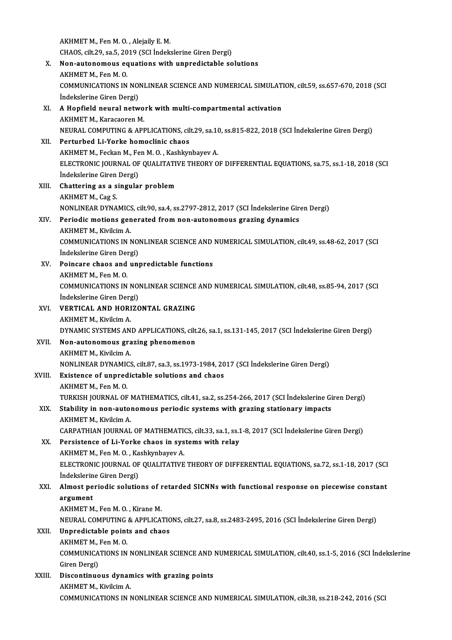AKHMET M., Fen M.O., Alejaily E.M. AKHMET M., Fen M. O. , Alejaily E. M.<br>CHAOS, cilt.29, sa.5, 2019 (SCI İndekslerine Giren Dergi)<br>Nen autonomewe equations with unnuadistable eq X. Non-autonomous equations with unpredictable solutions CHAOS, cilt.29, sa.5, 20<br>Non-autonomous ec<br>AKHMET M., Fen M. O.<br>COMMUNICATIONS IN Non-autonomous equations with unpredictable solutions<br>AKHMET M., Fen M. O.<br>COMMUNICATIONS IN NONLINEAR SCIENCE AND NUMERICAL SIMULATION, cilt.59, ss.657-670, 2018 (SCI<br>Indekslerine Ciren Dergi) AKHMET M., Fen M. O.<br>COMMUNICATIONS IN NOI<br>İndekslerine Giren Dergi)<br>A Hanfiald naural natu COMMUNICATIONS IN NONLINEAR SCIENCE AND NUMERICAL SIMULATI<br>
indekslerine Giren Dergi)<br>
XI. A Hopfield neural network with multi-compartmental activation<br>
AYUMET M. KARAGAATAN İndekslerine Giren Dergi)<br>A Hopfield neural netwo<br>AKHMET M., Karacaoren M.<br>NEUPAL COMPUTINC & API A Hopfield neural network with multi-compartmental activation<br>AKHMET M., Karacaoren M.<br>NEURAL COMPUTING & APPLICATIONS, cilt.29, sa.10, ss.815-822, 2018 (SCI İndekslerine Giren Dergi)<br>Perturbed Li Yerke hamaslinis shaqs AKHMET M., Karacaoren M.<br>NEURAL COMPUTING & APPLICATIONS, cil<br>XII. Perturbed Li-Yorke homoclinic chaos NEURAL COMPUTING & APPLICATIONS, cilt.29, sa.10<br>Perturbed Li-Yorke homoclinic chaos<br>AKHMET M., Feckan M., Fen M. O. , Kashkynbayev A.<br>ELECTPONIC JOUPNAL OF QUALITATIVE TUEOPV O ELECTRONIC JOURNAL OF QUALITATIVE THEORY OF DIFFERENTIAL EQUATIONS, sa.75, ss.1-18, 2018 (SCI<br>Indekslerine Giren Dergi) AKHMET M., Feckan M., Fen M.O., Kashkynbayev A. ELECTRONIC JOURNAL OF QUALITATIT<br>
indekslerine Giren Dergi)<br>
XIII. Chattering as a singular problem Indekslerine Giren<br>Chattering as a s<br>AKHMET M., Cag S.<br>NONI INEAP DYNA Chattering as a singular problem<br>AKHMET M., Cag S.<br>NONLINEAR DYNAMICS, cilt.90, sa.4, ss.2797-2812, 2017 (SCI İndekslerine Giren Dergi)<br>Periodis metiene generated from nen autenomeus grazing dunemise AKHMET M., Cag S.<br>NONLINEAR DYNAMICS, cilt.90, sa.4, ss.2797-2812, 2017 (SCI Indekslerine Gir<br>XIV. Periodic motions generated from non-autonomous grazing dynamics<br>AKHMET M.. Kivilcim A. NONLINEAR DYNAMICS<br>Periodic motions gen<br>AKHMET M., Kivilcim A.<br>COMMUNICATIONS IN N COMMUNICATIONS IN NONLINEAR SCIENCE AND NUMERICAL SIMULATION, cilt.49, ss.48-62, 2017 (SCI AKHMET M., Kivilcim A.<br>COMMUNICATIONS IN NO<br>İndekslerine Giren Dergi)<br>Poingare shaqs and uni XV. Poincare chaos and unpredictable functions Indekslerine Giren Dei<br>Poincare chaos and<br>AKHMET M., Fen M. O.<br>COMMUNICATIONS IN Poincare chaos and unpredictable functions<br>AKHMET M., Fen M. O.<br>COMMUNICATIONS IN NONLINEAR SCIENCE AND NUMERICAL SIMULATION, cilt.48, ss.85-94, 2017 (SCI AKHMET M., Fen M. O.<br>COMMUNICATIONS IN NOI<br>İndekslerine Giren Dergi)<br>VERTICAL AND HOBIZC XVI. VERTICAL AND HORIZONTAL GRAZING<br>AKHMET M., Kivilcim A. İndekslerine Giren Dergi) VERTICAL AND HORIZONTAL GRAZING<br>AKHMET M., Kivilcim A.<br>DYNAMIC SYSTEMS AND APPLICATIONS, cilt.26, sa.1, ss.131-145, 2017 (SCI İndekslerine Giren Dergi)<br>Nen autonomous grasing phonomonon XVII. Non-autonomous grazing phenomenon<br>AKHMET M., Kivilcim A. DYNAMIC SYSTEMS AN<br>Non-autonomous gra<br>AKHMET M., Kivilcim A.<br>NONI INEAP DYNAMICS Non-autonomous grazing phenomenon<br>AKHMET M., Kivilcim A.<br>NONLINEAR DYNAMICS, cilt.87, sa.3, ss.1973-1984, 2017 (SCI İndekslerine Giren Dergi)<br>Evistance of unnredistable selutions and shace. XVIII. Existence of unpredictable solutions and chaos<br>AKHMET M., Fen M. O. NONLINEAR DYNAMIC<br>Existence of unpred<br>AKHMET M., Fen M. O.<br>TURVISH JOURNAL OF Existence of unpredictable solutions and chaos<br>AKHMET M., Fen M. O.<br>TURKISH JOURNAL OF MATHEMATICS, cilt.41, sa.2, ss.254-266, 2017 (SCI İndekslerine Giren Dergi)<br>Stability in non autonomous noviadis systems with syssins s XIX. Stability in non-autonomous periodic systems with grazing stationary impacts TURKISH JOURNAL OF I<br>Stability in non-autor<br>AKHMET M., Kivilcim A.<br>CARRATHIAN JOURNAL CARPATHIAN JOURNAL OF MATHEMATICS, cilt.33, sa.1, ss.1-8, 2017 (SCI İndekslerine Giren Dergi) XX. Persistence of Li-Yorke chaos in systems with relay CARPATHIAN JOURNAL OF MATHEMATION<br>Persistence of Li-Yorke chaos in sys<br>AKHMET M., Fen M. O. , Kashkynbayev A.<br>ELECTPONIC JOUPNAL OF OUALITATIVE ELECTRONIC JOURNAL OF QUALITATIVE THEORY OF DIFFERENTIAL EQUATIONS, sa.72, ss.1-18, 2017 (SCI Indekslerine Giren Dergi) AKHMET M., Fen M. O. , Ka<br>ELECTRONIC JOURNAL OF<br>İndekslerine Giren Dergi)<br>Almast nariadis salutio ELECTRONIC JOURNAL OF QUALITATIVE THEORY OF DIFFERENTIAL EQUATIONS, sa.72, ss.1-18, 2017 (SCI<br>Indekslerine Giren Dergi)<br>XXI. Almost periodic solutions of retarded SICNNs with functional response on piecewise constant<br>argum **İndekslerin<br>Almost pe<br>argument<br>ALLIMET M** Almost periodic solutions of r<br>argument<br>AKHMET M., Fen M. O. , Kirane M.<br>NEUPAL COMBUTING & APPLICA. argument<br>AKHMET M., Fen M. O. , Kirane M.<br>NEURAL COMPUTING & APPLICATIONS, cilt.27, sa.8, ss.2483-2495, 2016 (SCI İndekslerine Giren Dergi)<br>Unnredistable points and shaos. AKHMET M., Fen M. O. , Kirane M.<br>NEURAL COMPUTING & APPLICATIC<br>XXII. Unpredictable points and chaos<br>AKHMET M.. Fen M. O. NEURAL COMPUTING<br>Unpredictable point<br>AKHMET M., Fen M. O.<br>COMMUNICATIONS IN Unpredictable points and chaos<br>AKHMET M., Fen M. O.<br>COMMUNICATIONS IN NONLINEAR SCIENCE AND NUMERICAL SIMULATION, cilt.40, ss.1-5, 2016 (SCI İndekslerine AKHMET M., J<br>COMMUNICA<br>Giren Dergi)<br>Discontinuo COMMUNICATIONS IN NONLINEAR SCIENCE AND<br>Giren Dergi)<br>XXIII. Discontinuous dynamics with grazing points Giren Dergi)<br>XXIII. Discontinuous dynamics with grazing points<br>AKHMET M., Kivilcim A. COMMUNICATIONS IN NONLINEAR SCIENCE AND NUMERICAL SIMULATION, cilt.38, ss.218-242, 2016 (SCI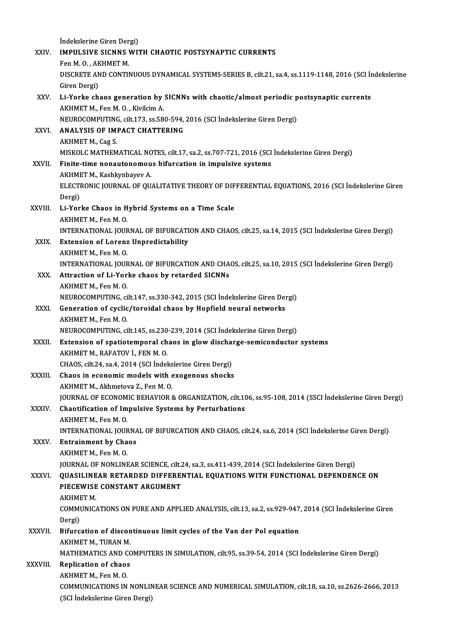|               | Indekslerine Giren Dergi)                                                                                                                              |
|---------------|--------------------------------------------------------------------------------------------------------------------------------------------------------|
| XXIV.         | <b>IMPULSIVE SICNNS WITH CHAOTIC POSTSYNAPTIC CURRENTS</b>                                                                                             |
|               | Fen M O, AKHMET M.                                                                                                                                     |
|               | DISCRETE AND CONTINUOUS DYNAMICAL SYSTEMS-SERIES B, cilt.21, sa.4, ss.1119-1148, 2016 (SCI Indekslerine                                                |
| XXV.          | Giren Dergi)<br>Li-Yorke chaos generation by SICNNs with chaotic/almost periodic postsynaptic currents                                                 |
|               | AKHMET M., Fen M.O., Kivilcim A.                                                                                                                       |
|               | NEUROCOMPUTING, cilt.173, ss.580-594, 2016 (SCI İndekslerine Giren Dergi)                                                                              |
| XXVI.         | ANALYSIS OF IMPACT CHATTERING                                                                                                                          |
|               | AKHMET M., Cag S.                                                                                                                                      |
|               | MISKOLC MATHEMATICAL NOTES, cilt.17, sa.2, ss.707-721, 2016 (SCI Indekslerine Giren Dergi)                                                             |
| XXVII.        | Finite-time nonautonomous bifurcation in impulsive systems<br>AKHMET M., Kashkynbayev A.                                                               |
|               | ELECTRONIC JOURNAL OF QUALITATIVE THEORY OF DIFFERENTIAL EQUATIONS, 2016 (SCI Indekslerine Giren                                                       |
|               | Dergi)                                                                                                                                                 |
| XXVIII.       | Li-Yorke Chaos in Hybrid Systems on a Time Scale                                                                                                       |
|               | AKHMET M, Fen M O                                                                                                                                      |
|               | INTERNATIONAL JOURNAL OF BIFURCATION AND CHAOS, cilt.25, sa.14, 2015 (SCI İndekslerine Giren Dergi)                                                    |
| XXIX.         | <b>Extension of Lorenz Unpredictability</b>                                                                                                            |
|               | AKHMET M., Fen M.O.<br>INTERNATIONAL JOURNAL OF BIFURCATION AND CHAOS, cilt.25, sa.10, 2015 (SCI İndekslerine Giren Dergi)                             |
| XXX.          | Attraction of Li-Yorke chaos by retarded SICNNs                                                                                                        |
|               | AKHMET M, Fen M.O.                                                                                                                                     |
|               | NEUROCOMPUTING, cilt.147, ss.330-342, 2015 (SCI İndekslerine Giren Dergi)                                                                              |
| XXXI.         | Generation of cyclic/toroidal chaos by Hopfield neural networks                                                                                        |
|               | AKHMET M., Fen M.O.                                                                                                                                    |
| XXXII.        | NEUROCOMPUTING, cilt.145, ss.230-239, 2014 (SCI İndekslerine Giren Dergi)<br>Extension of spatiotemporal chaos in glow discharge-semiconductor systems |
|               | AKHMET M. RAFATOV I. FEN M. O.                                                                                                                         |
|               | CHAOS, cilt.24, sa.4, 2014 (SCI İndekslerine Giren Dergi)                                                                                              |
| XXXIII.       | Chaos in economic models with exogenous shocks                                                                                                         |
|               | AKHMET M., Akhmetova Z., Fen M. O.                                                                                                                     |
|               | JOURNAL OF ECONOMIC BEHAVIOR & ORGANIZATION, cilt.106, ss.95-108, 2014 (SSCI Indekslerine Giren Dergi)                                                 |
| XXXIV.        | Chaotification of Impulsive Systems by Perturbations<br>AKHMET M., Fen M.O.                                                                            |
|               | INTERNATIONAL JOURNAL OF BIFURCATION AND CHAOS, cilt.24, sa.6, 2014 (SCI Indekslerine Giren Dergi)                                                     |
| XXXV.         | <b>Entrainment by Chaos</b>                                                                                                                            |
|               | AKHMET M., Fen M.O.                                                                                                                                    |
|               | JOURNAL OF NONLINEAR SCIENCE, cilt.24, sa.3, ss.411-439, 2014 (SCI İndekslerine Giren Dergi)                                                           |
| <b>XXXVI</b>  | QUASILINEAR RETARDED DIFFERENTIAL EQUATIONS WITH FUNCTIONAL DEPENDENCE ON                                                                              |
|               | PIECEWISE CONSTANT ARGUMENT<br><b>AKHMET M.</b>                                                                                                        |
|               | COMMUNICATIONS ON PURE AND APPLIED ANALYSIS, cilt.13, sa.2, ss.929-947, 2014 (SCI Indekslerine Giren                                                   |
|               | Dergi)                                                                                                                                                 |
| <b>XXXVII</b> | Bifurcation of discontinuous limit cycles of the Van der Pol equation                                                                                  |
|               | AKHMET M., TURAN M.                                                                                                                                    |
|               | MATHEMATICS AND COMPUTERS IN SIMULATION, cilt.95, ss.39-54, 2014 (SCI İndekslerine Giren Dergi)                                                        |
| XXXVIII.      | <b>Replication of chaos</b>                                                                                                                            |
|               | AKHMET M., Fen M.O.<br>COMMUNICATIONS IN NONLINEAR SCIENCE AND NUMERICAL SIMULATION, cilt.18, sa.10, ss.2626-2666, 2013                                |
|               | (SCI İndekslerine Giren Dergi)                                                                                                                         |
|               |                                                                                                                                                        |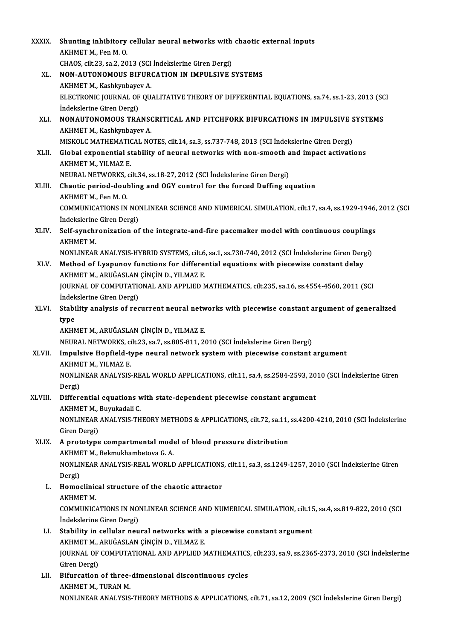| <b>XXXIX</b> | Shunting inhibitory cellular neural networks with chaotic external inputs                                 |
|--------------|-----------------------------------------------------------------------------------------------------------|
|              | AKHMET M., Fen M.O.                                                                                       |
|              | CHAOS, cilt.23, sa.2, 2013 (SCI Indekslerine Giren Dergi)                                                 |
| XL.          | NON-AUTONOMOUS BIFURCATION IN IMPULSIVE SYSTEMS                                                           |
|              | AKHMET M., Kashkynbayev A.                                                                                |
|              | ELECTRONIC JOURNAL OF QUALITATIVE THEORY OF DIFFERENTIAL EQUATIONS, sa.74, ss.1-23, 2013 (SCI             |
|              | İndekslerine Giren Dergi)                                                                                 |
| XLI.         | NONAUTONOMOUS TRANSCRITICAL AND PITCHFORK BIFURCATIONS IN IMPULSIVE SYSTEMS<br>AKHMET M., Kashkynbayev A. |
|              | MISKOLC MATHEMATICAL NOTES, cilt.14, sa.3, ss.737-748, 2013 (SCI Indekslerine Giren Dergi)                |
| XLII.        | Global exponential stability of neural networks with non-smooth and impact activations                    |
|              | AKHMET M., YILMAZ E.                                                                                      |
|              | NEURAL NETWORKS, cilt 34, ss 18-27, 2012 (SCI Indekslerine Giren Dergi)                                   |
| XLIII.       | Chaotic period-doubling and OGY control for the forced Duffing equation                                   |
|              | AKHMET M., Fen M.O.                                                                                       |
|              | COMMUNICATIONS IN NONLINEAR SCIENCE AND NUMERICAL SIMULATION, cilt.17, sa.4, ss.1929-1946, 2012 (SCI      |
|              | İndekslerine Giren Dergi)                                                                                 |
| XLIV.        | Self-synchronization of the integrate-and-fire pacemaker model with continuous couplings                  |
|              | <b>AKHMET M</b>                                                                                           |
|              | NONLINEAR ANALYSIS-HYBRID SYSTEMS, cilt.6, sa.1, ss.730-740, 2012 (SCI İndekslerine Giren Dergi)          |
| XLV.         | Method of Lyapunov functions for differential equations with piecewise constant delay                     |
|              | AKHMET M., ARUĞASLAN ÇİNÇİN D., YILMAZ E.                                                                 |
|              | JOURNAL OF COMPUTATIONAL AND APPLIED MATHEMATICS, cilt.235, sa.16, ss.4554-4560, 2011 (SCI                |
|              | İndekslerine Giren Dergi)                                                                                 |
| XLVI.        | Stability analysis of recurrent neural networks with piecewise constant argument of generalized           |
|              | type<br>AKHMET M., ARUĞASLAN ÇİNÇİN D., YILMAZ E.                                                         |
|              | NEURAL NETWORKS, cilt.23, sa.7, ss.805-811, 2010 (SCI İndekslerine Giren Dergi)                           |
| <b>XLVII</b> | Impulsive Hopfield-type neural network system with piecewise constant argument                            |
|              | AKHMET M., YILMAZ E.                                                                                      |
|              | NONLINEAR ANALYSIS-REAL WORLD APPLICATIONS, cilt.11, sa.4, ss.2584-2593, 2010 (SCI Indekslerine Giren     |
|              | Dergi)                                                                                                    |
| XLVIII.      | Differential equations with state-dependent piecewise constant argument                                   |
|              | AKHMET M., Buyukadali C.                                                                                  |
|              | NONLINEAR ANALYSIS-THEORY METHODS & APPLICATIONS, cilt.72, sa.11, ss.4200-4210, 2010 (SCI Indekslerine    |
|              | Giren Dergi)                                                                                              |
| XLIX.        | A prototype compartmental model of blood pressure distribution                                            |
|              | AKHMET M., Bekmukhambetova G. A.                                                                          |
|              | NONLINEAR ANALYSIS-REAL WORLD APPLICATIONS, cilt.11, sa.3, ss.1249-1257, 2010 (SCI İndekslerine Giren     |
| L.           | Dergi)<br>Homoclinical structure of the chaotic attractor                                                 |
|              | <b>AKHMET M.</b>                                                                                          |
|              | COMMUNICATIONS IN NONLINEAR SCIENCE AND NUMERICAL SIMULATION, cilt.15, sa.4, ss.819-822, 2010 (SCI        |
|              | İndekslerine Giren Dergi)                                                                                 |
| LI.          | Stability in cellular neural networks with a piecewise constant argument                                  |
|              | AKHMET M., ARUĞASLAN ÇİNÇİN D., YILMAZ E.                                                                 |
|              | JOURNAL OF COMPUTATIONAL AND APPLIED MATHEMATICS, cilt.233, sa.9, ss.2365-2373, 2010 (SCI İndekslerine    |
|              | Giren Dergi)                                                                                              |
| LII.         | Bifurcation of three-dimensional discontinuous cycles                                                     |
|              | AKHMET M., TURAN M.                                                                                       |
|              | NONLINEAR ANALYSIS-THEORY METHODS & APPLICATIONS, cilt.71, sa.12, 2009 (SCI İndekslerine Giren Dergi)     |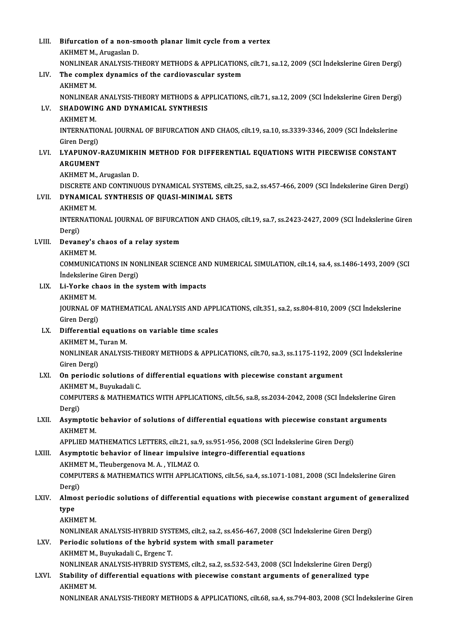| LIII.  | Bifurcation of a non-smooth planar limit cycle from a vertex                                                                                                              |
|--------|---------------------------------------------------------------------------------------------------------------------------------------------------------------------------|
|        | AKHMET M., Arugaslan D.                                                                                                                                                   |
|        | NONLINEAR ANALYSIS-THEORY METHODS & APPLICATIONS, cilt.71, sa.12, 2009 (SCI İndekslerine Giren Dergi)                                                                     |
| LIV.   | The complex dynamics of the cardiovascular system<br><b>AKHMET M</b>                                                                                                      |
| LV.    | NONLINEAR ANALYSIS-THEORY METHODS & APPLICATIONS, cilt.71, sa.12, 2009 (SCI İndekslerine Giren Dergi)<br>SHADOWING AND DYNAMICAL SYNTHESIS                                |
|        | <b>AKHMET M.</b>                                                                                                                                                          |
|        | INTERNATIONAL JOURNAL OF BIFURCATION AND CHAOS, cilt.19, sa.10, ss.3339-3346, 2009 (SCI İndekslerine                                                                      |
|        | Giren Dergi)                                                                                                                                                              |
| LVI.   | LYAPUNOV-RAZUMIKHIN METHOD FOR DIFFERENTIAL EQUATIONS WITH PIECEWISE CONSTANT<br><b>ARGUMENT</b>                                                                          |
|        | AKHMET M., Arugaslan D.                                                                                                                                                   |
| LVII.  | DISCRETE AND CONTINUOUS DYNAMICAL SYSTEMS, cilt.25, sa.2, ss.457-466, 2009 (SCI Indekslerine Giren Dergi)<br>DYNAMICAL SYNTHESIS OF QUASI-MINIMAL SETS<br><b>AKHMET M</b> |
|        | INTERNATIONAL JOURNAL OF BIFURCATION AND CHAOS, cilt.19, sa.7, ss.2423-2427, 2009 (SCI Indekslerine Giren                                                                 |
|        | Dergi)                                                                                                                                                                    |
| LVIII. | Devaney's chaos of a relay system                                                                                                                                         |
|        | <b>AKHMET M</b>                                                                                                                                                           |
|        | COMMUNICATIONS IN NONLINEAR SCIENCE AND NUMERICAL SIMULATION, cilt.14, sa.4, ss.1486-1493, 2009 (SCI                                                                      |
|        | İndekslerine Giren Dergi)                                                                                                                                                 |
| LIX.   | Li-Yorke chaos in the system with impacts<br><b>AKHMET M</b>                                                                                                              |
|        | JOURNAL OF MATHEMATICAL ANALYSIS AND APPLICATIONS, cilt.351, sa.2, ss.804-810, 2009 (SCI İndekslerine                                                                     |
|        | Giren Dergi)                                                                                                                                                              |
| LX.    | Differential equations on variable time scales                                                                                                                            |
|        | AKHMET M., Turan M.                                                                                                                                                       |
|        | NONLINEAR ANALYSIS-THEORY METHODS & APPLICATIONS, cilt.70, sa.3, ss.1175-1192, 2009 (SCI İndekslerine<br>Giren Dergi)                                                     |
| LXI.   | On periodic solutions of differential equations with piecewise constant argument                                                                                          |
|        | AKHMET M., Buyukadali C.                                                                                                                                                  |
|        | COMPUTERS & MATHEMATICS WITH APPLICATIONS, cilt.56, sa.8, ss.2034-2042, 2008 (SCI Indekslerine Giren                                                                      |
|        | Dergi)                                                                                                                                                                    |
| LXII.  | Asymptotic behavior of solutions of differential equations with piecewise constant arguments<br><b>AKHMET M.</b>                                                          |
|        | APPLIED MATHEMATICS LETTERS, cilt.21, sa.9, ss.951-956, 2008 (SCI Indekslerine Giren Dergi)                                                                               |
| LXIII. | Asymptotic behavior of linear impulsive integro-differential equations                                                                                                    |
|        | AKHMET M., Tleubergenova M. A., YILMAZ O.                                                                                                                                 |
|        | COMPUTERS & MATHEMATICS WITH APPLICATIONS, cilt.56, sa.4, ss.1071-1081, 2008 (SCI Indekslerine Giren<br>Dergi)                                                            |
| LXIV.  | Almost periodic solutions of differential equations with piecewise constant argument of generalized                                                                       |
|        | type                                                                                                                                                                      |
|        | <b>AKHMET M</b>                                                                                                                                                           |
|        | NONLINEAR ANALYSIS-HYBRID SYSTEMS, cilt.2, sa.2, ss.456-467, 2008 (SCI İndekslerine Giren Dergi)                                                                          |
| LXV.   | Periodic solutions of the hybrid system with small parameter                                                                                                              |
|        | AKHMET M., Buyukadali C., Ergenc T.                                                                                                                                       |
|        | NONLINEAR ANALYSIS-HYBRID SYSTEMS, cilt.2, sa.2, ss.532-543, 2008 (SCI İndekslerine Giren Dergi)                                                                          |
| LXVI.  | Stability of differential equations with piecewise constant arguments of generalized type<br>АКНМЕТ М.                                                                    |
|        | NONLINEAR ANALYSIS-THEORY METHODS & APPLICATIONS, cilt.68, sa.4, ss.794-803, 2008 (SCI Indekslerine Giren                                                                 |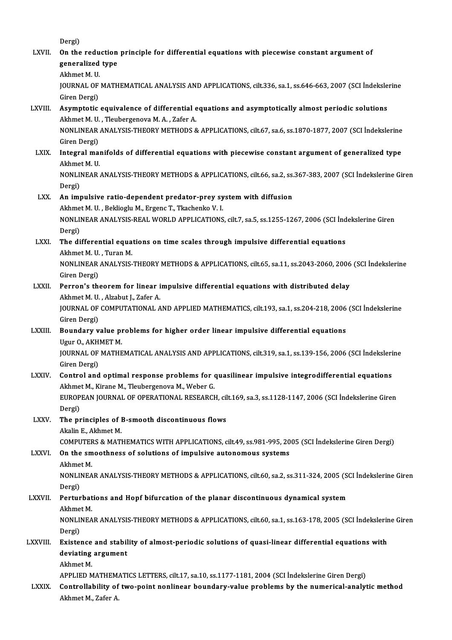| LXVII.         | Dergi)<br>On the reduction principle for differential equations with piecewise constant argument of                                                  |
|----------------|------------------------------------------------------------------------------------------------------------------------------------------------------|
|                | generalized type                                                                                                                                     |
|                | Akhmet M.U.                                                                                                                                          |
|                | JOURNAL OF MATHEMATICAL ANALYSIS AND APPLICATIONS, cilt.336, sa.1, ss.646-663, 2007 (SCI Indekslerine                                                |
|                | Giren Dergi)                                                                                                                                         |
| LXVIII.        | Asymptotic equivalence of differential equations and asymptotically almost periodic solutions                                                        |
|                | Akhmet M. U., Tleubergenova M. A., Zafer A.<br>NONLINEAR ANALYSIS-THEORY METHODS & APPLICATIONS, cilt.67, sa.6, ss.1870-1877, 2007 (SCI İndekslerine |
|                | Giren Dergi)                                                                                                                                         |
| LXIX.          | Integral manifolds of differential equations with piecewise constant argument of generalized type                                                    |
|                | Akhmet M U                                                                                                                                           |
|                | NONLINEAR ANALYSIS-THEORY METHODS & APPLICATIONS, cilt.66, sa.2, ss.367-383, 2007 (SCI Indekslerine Giren                                            |
|                | Dergi)                                                                                                                                               |
| LXX.           | An impulsive ratio-dependent predator-prey system with diffusion                                                                                     |
|                | Akhmet M. U., Beklioglu M., Ergenc T., Tkachenko V. I.                                                                                               |
|                | NONLINEAR ANALYSIS-REAL WORLD APPLICATIONS, cilt.7, sa.5, ss.1255-1267, 2006 (SCI Indekslerine Giren<br>Dergi)                                       |
| LXXI.          | The differential equations on time scales through impulsive differential equations                                                                   |
|                | Akhmet M. U., Turan M.                                                                                                                               |
|                | NONLINEAR ANALYSIS-THEORY METHODS & APPLICATIONS, cilt.65, sa.11, ss.2043-2060, 2006 (SCI İndekslerine                                               |
|                | Giren Dergi)                                                                                                                                         |
| LXXII.         | Perron's theorem for linear impulsive differential equations with distributed delay                                                                  |
|                | Akhmet M. U., Alzabut J., Zafer A.                                                                                                                   |
|                | JOURNAL OF COMPUTATIONAL AND APPLIED MATHEMATICS, cilt.193, sa.1, ss.204-218, 2006 (SCI Indekslerine<br>Giren Dergi)                                 |
| <b>LXXIII</b>  | Boundary value problems for higher order linear impulsive differential equations                                                                     |
|                | Ugur O, AKHMET M                                                                                                                                     |
|                | JOURNAL OF MATHEMATICAL ANALYSIS AND APPLICATIONS, cilt.319, sa.1, ss.139-156, 2006 (SCI Indekslerine                                                |
|                | Giren Dergi)                                                                                                                                         |
| <b>LXXIV.</b>  | Control and optimal response problems for quasilinear impulsive integrodifferential equations                                                        |
|                | Akhmet M., Kirane M., Tleubergenova M., Weber G.                                                                                                     |
|                | EUROPEAN JOURNAL OF OPERATIONAL RESEARCH, cilt.169, sa.3, ss.1128-1147, 2006 (SCI İndekslerine Giren<br>Dergi)                                       |
| LXXV.          | The principles of B-smooth discontinuous flows                                                                                                       |
|                | Akalin E., Akhmet M.                                                                                                                                 |
|                | COMPUTERS & MATHEMATICS WITH APPLICATIONS, cilt.49, ss.981-995, 2005 (SCI İndekslerine Giren Dergi)                                                  |
| <b>LXXVI</b> . | On the smoothness of solutions of impulsive autonomous systems                                                                                       |
|                | Akhmet M.                                                                                                                                            |
|                | NONLINEAR ANALYSIS-THEORY METHODS & APPLICATIONS, cilt.60, sa.2, ss.311-324, 2005 (SCI Indekslerine Giren<br>Dergi)                                  |
| LXXVII.        | Perturbations and Hopf bifurcation of the planar discontinuous dynamical system                                                                      |
|                | Akhmet M                                                                                                                                             |
|                | NONLINEAR ANALYSIS-THEORY METHODS & APPLICATIONS, cilt.60, sa.1, ss.163-178, 2005 (SCI Indekslerine Giren                                            |
|                | Dergi)                                                                                                                                               |
| <b>LXXVIII</b> | Existence and stability of almost-periodic solutions of quasi-linear differential equations with                                                     |
|                | deviating argument                                                                                                                                   |
|                | Akhmet M.<br>APPLIED MATHEMATICS LETTERS, cilt.17, sa.10, ss.1177-1181, 2004 (SCI Indekslerine Giren Dergi)                                          |
| <b>LXXIX</b>   | Controllability of two-point nonlinear boundary-value problems by the numerical-analytic method                                                      |
|                | Akhmet M., Zafer A.                                                                                                                                  |
|                |                                                                                                                                                      |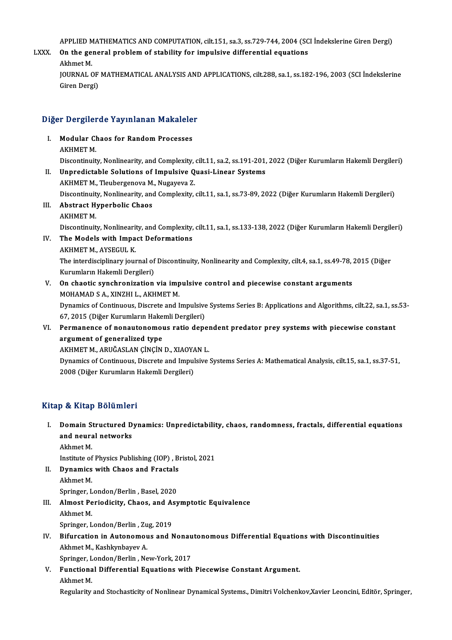APPLIED MATHEMATICS AND COMPUTATION, cilt.151, sa.3, ss.729-744, 2004 (SCI İndekslerine Giren Dergi)<br>On the general problem of stability for impulsive differential equations

APPLIED MATHEMATICS AND COMPUTATION, cilt.151, sa.3, ss.729-744, 2004 (SC<br>LXXX. On the general problem of stability for impulsive differential equations APPLIED M<br>On the ge:<br>Akhmet M.<br>JOUPMAL G On the general problem of stability for impulsive differential equations<br>Akhmet M.<br>JOURNAL OF MATHEMATICAL ANALYSIS AND APPLICATIONS, cilt.288, sa.1, ss.182-196, 2003 (SCI İndekslerine<br>Ciron Dergi)

Akhmet M.<br>JOURNAL OF<br>Giren Dergi)

# <sub>Giren Dergi)</sub><br>Diğer Dergilerde Yayınlanan Makaleler

Iger Dergilerde Yayınlanan Makalele<br>I. Modular Chaos for Random Processes<br>AKUMET M I. Modular Chaos for Random Processes<br>AKHMET M.

Modular Chaos for Random Processes<br>AKHMET M.<br>Discontinuity, Nonlinearity, and Complexity, cilt.11, sa.2, ss.191-201, 2022 (Diğer Kurumların Hakemli Dergileri)<br>Unnredistable Solutions of Impulsive Quesi Linear Systems II. Unpredictable Solutions of Impulsive Quasi-Linear Systems<br>AKHMET M., Tleubergenova M., Nugayeva Z. Discontinuity, Nonlinearity, and Complexity,<br>Unpredictable Solutions of Impulsive Q<br>AKHMET M., Tleubergenova M., Nugayeva Z.<br>Discontinuity, Nonlinearity, and Complexity.

Unpredictable Solutions of Impulsive Quasi-Linear Systems<br>AKHMET M., Tleubergenova M., Nugayeva Z.<br>Discontinuity, Nonlinearity, and Complexity, cilt.11, sa.1, ss.73-89, 2022 (Diğer Kurumların Hakemli Dergileri)<br>Abetreet Hu

- III. Abstract Hyperbolic Chaos<br>AKHMET M. Discontinuit<br>**Abstract H**<br>AKHMET M.<br>Discontinuit Abstract Hyperbolic Chaos<br>AKHMET M.<br>Discontinuity, Nonlinearity, and Complexity, cilt.11, sa.1, ss.133-138, 2022 (Diğer Kurumların Hakemli Dergileri)<br>The Madels with Imnest Defermations
- IV. The Models with Impact Deformations<br>AKHMET M., AYSEGUL K. Discontinuity, Nonlineari<br>The Models with Impa<br>AKHMET M., AYSEGUL K.<br>The interdiscinlinery jour The Models with Impact Deformations<br>AKHMET M., AYSEGUL K.<br>The interdisciplinary journal of Discontinuity, Nonlinearity and Complexity, cilt.4, sa.1, ss.49-78, 2015 (Diğer<br>Kurumların Hakamli Dergileri) AKHMET M., AYSEGUL K.<br>The interdisciplinary journal of<br>Kurumların Hakemli Dergileri)<br>On shaatis synshronization The interdisciplinary journal of Discontinuity, Nonlinearity and Complexity, cilt.4, sa.1, ss.49-78,<br>Kurumların Hakemli Dergileri)<br>V. On chaotic synchronization via impulsive control and piecewise constant arguments<br>MOUAMA
- Kurumların Hakemli Dergileri)<br>On chaotic synchronization via imp<br>MOHAMAD S A., XINZHI L., AKHMET M.<br>Dimomics of Continuous Discrete and I On chaotic synchronization via impulsive control and piecewise constant arguments<br>MOHAMAD S A., XINZHI L., AKHMET M.<br>Dynamics of Continuous, Discrete and Impulsive Systems Series B: Applications and Algorithms, cilt.22, sa MOHAMAD S A., XINZHI L., AKHMET M.<br>Dynamics of Continuous, Discrete and Impulsive<br>67, 2015 (Diğer Kurumların Hakemli Dergileri)<br>Bermanange of nanautanemeus ratio dang Dynamics of Continuous, Discrete and Impulsive Systems Series B: Applications and Algorithms, cilt.22, sa.1, ss<br>67, 2015 (Diğer Kurumların Hakemli Dergileri)<br>VI. Permanence of nonautonomous ratio dependent predator prey sy

## 67, 2015 (Diğer Kurumların Hake)<br>Permanence of nonautonomol<br>argument of generalized type<br>AKUMET MAABUĞASLAN CİNCİN Permanence of nonautonomous ratio deper<br>argument of generalized type<br>AKHMET M., ARUĞASLAN ÇİNÇİN D., XIAOYAN L.<br>Dynamiss of Continuous, Discrete and Impulsive argument of generalized type<br>AKHMET M., ARUĞASLAN ÇİNÇİN D., XIAOYAN L.<br>Dynamics of Continuous, Discrete and Impulsive Systems Series A: Mathematical Analysis, cilt.15, sa.1, ss.37-51,<br>2008 (Dižer Kurumların Hakamli Dergil

AKHMET M., ARUĞASLAN ÇİNÇİN D., XIAOYA<br>Dynamics of Continuous, Discrete and Impul<br>2008 (Diğer Kurumların Hakemli Dergileri) 2008 (Diğer Kurumların Hakemli Dergileri)<br>Kitap & Kitap Bölümleri

Itap & Kitap Bölümleri<br>I. Domain Structured Dynamics: Unpredictability, chaos, randomness, fractals, differential equations<br>. and neural natworks b contrast bordness<br>Domain Structured D<br>and neural networks Domain S<br>and neura<br>Akhmet M.<br>Institute of and neural networks<br>Akhmet M.<br>Institute of Physics Publishing (IOP) , Bristol, 2021<br>Dunamics with Chaes and Enastals

Akhmet M.<br>Institute of Physics Publishing (IOP), B.<br>II. Dynamics with Chaos and Fractals Institute of<br>Dynamics<br>Akhmet M.<br>Springer J **Dynamics with Chaos and Fractals<br>Akhmet M.<br>Springer, London/Berlin, Basel, 2020** 

- Akhmet M.<br>Springer, London/Berlin , Basel, 2020<br>III. Almost Periodicity, Chaos, and Asymptotic Equivalence Springer, L<br>Almost Pe<br>Akhmet M.<br>Springer J Almost Periodicity, Chaos, and A:<br>Akhmet M.<br>Springer, London/Berlin , Zug, 2019 Akhmet M.<br>Springer, London/Berlin , Zug, 2019<br>IV. Bifurcation in Autonomous and Nonautonomous Differential Equations with Discontinuities
- Springer, London/Berlin , Zu<br>Bifurcation in Autonomou<br>Akhmet M., Kashkynbayev A.<br>Springen London/Berlin , Na

Bifurcation in Autonomous and Nonau<br>Akhmet M., Kashkynbayev A.<br>Springer, London/Berlin , New-York, 2017<br>Eunstianal Diffenantial Equations with

Akhmet M., Kashkynbayev A.<br>Springer, London/Berlin , New-York, 2017<br>V. Functional Differential Equations with Piecewise Constant Argument. Springer, L<br>Functiona<br>Akhmet M.<br>Posularity

Akhmet M.<br>Regularity and Stochasticity of Nonlinear Dynamical Systems., Dimitri Volchenkov,Xavier Leoncini, Editör, Springer,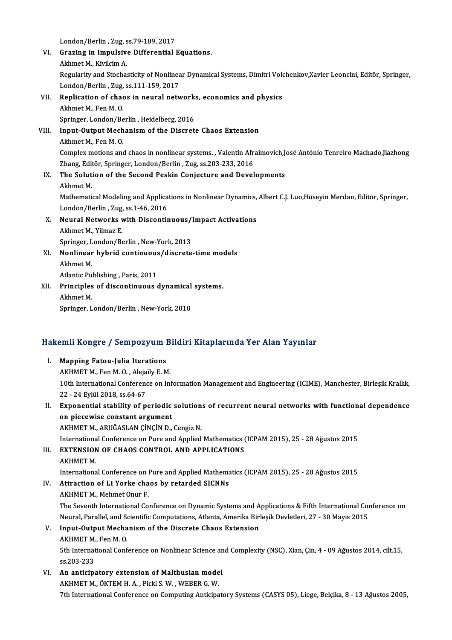London/Berlin , Zug, ss.79-109, 2017<br>Creging in Impulsive Differential

|       | London/Berlin, Zug, ss 79-109, 2017                                                                                 |
|-------|---------------------------------------------------------------------------------------------------------------------|
| VI.   | Grazing in Impulsive Differential Equations.                                                                        |
|       | Akhmet M., Kivilcim A.                                                                                              |
|       | Regularity and Stochasticity of Nonlinear Dynamical Systems, Dimitri Volchenkov, Xavier Leoncini, Editör, Springer, |
|       | London/Berlin, Zug, ss.111-159, 2017                                                                                |
| VII.  | Replication of chaos in neural networks, economics and physics                                                      |
|       | Akhmet M, Fen M.O.                                                                                                  |
|       | Springer, London/Berlin, Heidelberg, 2016                                                                           |
| VIII. | Input-Output Mechanism of the Discrete Chaos Extension                                                              |
|       | Akhmet M, Fen M O                                                                                                   |
|       | Complex motions and chaos in nonlinear systems., Valentin Afraimovich, José António Tenreiro Machado, Jiazhong      |
|       | Zhang, Editör, Springer, London/Berlin, Zug, ss.203-233, 2016                                                       |
| IX.   | The Solution of the Second Peskin Conjecture and Developments                                                       |
|       | Akhmet M.                                                                                                           |
|       | Mathematical Modeling and Applications in Nonlinear Dynamics, Albert C.J. Luo, Hüseyin Merdan, Editör, Springer,    |
|       | London/Berlin, Zug, ss 1-46, 2016                                                                                   |
| X.    | Neural Networks with Discontinuous/Impact Activations                                                               |
|       | Akhmet M, Yilmaz E.                                                                                                 |
|       | Springer, London/Berlin, New-York, 2013                                                                             |
| XI.   | Nonlinear hybrid continuous/discrete-time models                                                                    |
|       | Akhmet M.                                                                                                           |
|       | Atlantic Publishing, Paris, 2011                                                                                    |
| XII.  | Principles of discontinuous dynamical systems.                                                                      |
|       | Akhmet M.                                                                                                           |
|       | Springer, London/Berlin, New-York, 2010                                                                             |
|       |                                                                                                                     |

# springer, London/Berlin , New-York, 2010<br>Hakemli Kongre / Sempozyum Bildiri Kitaplarında Yer Alan Yayınlar

| lakemli Kongre / Sempozyum Bildiri Kitaplarında Yer Alan Yayınlar |                                                                                                                |  |
|-------------------------------------------------------------------|----------------------------------------------------------------------------------------------------------------|--|
| Ι.                                                                | <b>Mapping Fatou-Julia Iterations</b>                                                                          |  |
|                                                                   | AKHMET M., Fen M. O., Alejaily E. M.                                                                           |  |
|                                                                   | 10th International Conference on Information Management and Engineering (ICIME), Manchester, Birleşik Krallık, |  |
|                                                                   | 22 - 24 Eylül 2018, ss 64-67                                                                                   |  |
| Н.                                                                | Exponential stability of periodic solutions of recurrent neural networks with functional dependence            |  |
|                                                                   | an niasawisa sanstant angumant                                                                                 |  |

22 - 24 Eylül 2018, ss.64-67<br>Exponential stability of periodic<br>on piecewise constant argument<br>AKUMET M. ABUČASLAN CINCIN D on piecewise constant argument<br>AKHMET M., ARUĞASLAN ÇİNÇİN D., Cengiz N. AKHMET M., ARUĞASLAN ÇİNÇİN D., Cengiz N.<br>International Conference on Pure and Applied Mathematics (<br>III. EXTENSION OF CHAOS CONTROL AND APPLICATIONS

International Conference on Pure and Applied Mathematics (ICPAM 2015), 25 - 28 Ağustos 2015

## Internationa<br>EXTENSION<br>AKHMET M.<br>Internationa

EXTENSION OF CHAOS CONTROL AND APPLICATIONS<br>AKHMET M.<br>International Conference on Pure and Applied Mathematics (ICPAM 2015), 25 - 28 Ağustos 2015<br>Attraction of Li Yorke shaos by retarded SICNNs.

## AKHMET M.<br>International Conference on Pure and Applied Mathema<br>IV. Attraction of Li Yorke chaos by retarded SICNNs<br>AKHMET M., Mehmet Onur F. International Conference on l<br>Attraction of Li Yorke cha<br>AKHMET M., Mehmet Onur F.<br>The Seventh International Co

Attraction of Li Yorke chaos by retarded SICNNs<br>AKHMET M., Mehmet Onur F.<br>The Seventh International Conference on Dynamic Systems and Applications & Fifth International Conference on<br>Nauval Parallal and Scientific Computat AKHMET M., Mehmet Onur F.<br>The Seventh International Conference on Dynamic Systems and Applications & Fifth International Con<br>Neural, Parallel, and Scientific Computations, Atlanta, Amerika Birleşik Devletleri, 27 - 30 Mayı Neural, Parallel, and Scientific Computations, Atlanta, Amerika Birleşik Devletleri, 27 - 30 Mayıs 2015

## V. Input-Output Mechanism of the Discrete Chaos Extension<br>AKHMET M., Fen M. O. Input-Output Mechanism of the Discrete Chaos Extension<br>AKHMET M., Fen M. O.<br>5th International Conference on Nonlinear Science and Complexity (NSC), Xian, Çin, 4 - 09 Ağustos 2014, cilt.15,<br>88.202.222 AKHMET M.<br>5th Internat<br>ss.203-233<br>An antising

ss.203-233<br>VI. An anticipatory extension of Malthusian model AKHMET M., ÖKTEM H. A., Pickl S. W., WEBER G. W.

7th International Conference on Computing Anticipatory Systems (CASYS 05), Liege, Belçika, 8 - 13 Ağustos 2005,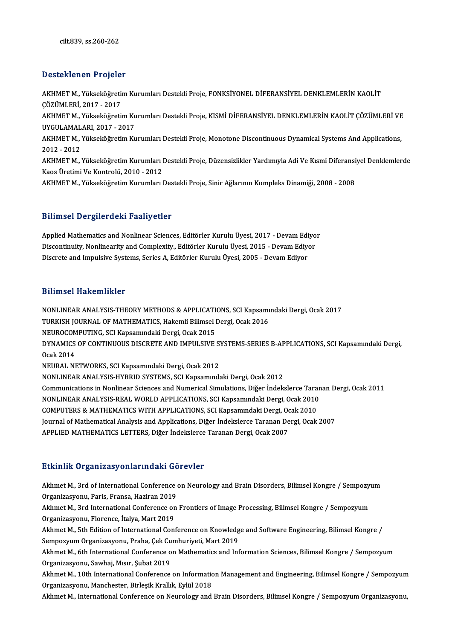## Desteklenen Projeler

Desteklenen Projeler<br>AKHMET M., Yükseköğretim Kurumları Destekli Proje, FONKSİYONEL DİFERANSİYEL DENKLEMLERİN KAOLİT<br>ÇÖZÜMLERİ 2017, 2017 Z COCCARON († 1 0 jor)<br>AKHMET M., Yükseköğreti<br>ÇÖZÜMLERİ, 2017 - 2017<br>AKHMET M. Yükseköğreti AKHMET M., Yükseköğretim Kurumları Destekli Proje, FONKSİYONEL DİFERANSİYEL DENKLEMLERİN KAOLİT<br>ÇÖZÜMLERİ, 2017 - 2017<br>AKHMET M., Yükseköğretim Kurumları Destekli Proje, KISMİ DİFERANSİYEL DENKLEMLERİN KAOLİT ÇÖZÜMLERİ VE<br> ÇÖZÜMLERİ, 2017 - 2017<br>AKHMET M., Yükseköğretim Ku<br>UYGULAMALARI, 2017 - 2017<br>AKHMET M. Yükseköğretim Ku AKHMET M., Yükseköğretim Kurumları Destekli Proje, KISMİ DİFERANSİYEL DENKLEMLERİN KAOLİT ÇÖZÜMLERİ VE<br>UYGULAMALARI, 2017 - 2017<br>AKHMET M., Yükseköğretim Kurumları Destekli Proje, Monotone Discontinuous Dynamical Systems A UYGULAMALARI, 2017 - 2017<br>AKHMET M., Yükseköğretim Kurumları Destekli Proje, Monotone Discontinuous Dynamical Systems And Applications,<br>2012 - 2012 AKHMET M., Yükseköğretim Kurumları Destekli Proje, Monotone Discontinuous Dynamical Systems And Applications,<br>2012 - 2012<br>AKHMET M., Yükseköğretim Kurumları Destekli Proje, Düzensizlikler Yardımıyla Adi Ve Kısmi Diferansiy 2012 - 2012<br>AKHMET M., Yükseköğretim Kurumları I<br>Kaos Üretimi Ve Kontrolü, 2010 - 2012<br>AKHMET M. Vükseköğretim Kurumları I AKHMET M., Yükseköğretim Kurumları Destekli Proje, Düzensizlikler Yardımıyla Adi Ve Kısmi Diferansi<br>Kaos Üretimi Ve Kontrolü, 2010 - 2012<br>AKHMET M., Yükseköğretim Kurumları Destekli Proje, Sinir Ağlarının Kompleks Dinamiği AKHMET M., Yükseköğretim Kurumları Destekli Proje, Sinir Ağlarının Kompleks Dinamiği, 2008 - 2008<br>Bilimsel Dergilerdeki Faaliyetler

Applied Mathematics and Nonlinear Sciences, Editörler Kurulu Üyesi, 2017 - Devam Ediyor Discout D'a gifer a cin i auity caes.<br>Applied Mathematics and Nonlinear Sciences, Editörler Kurulu Üyesi, 2017 - Devam Ediyo<br>Discontinuity, Nonlinearity and Complexity., Editörler Kurulu Üyesi, 2015 - Devam Ediyor<br>Discrete Applied Mathematics and Nonlinear Sciences, Editörler Kurulu Üyesi, 2017 - Devam Edi<br>Discontinuity, Nonlinearity and Complexity., Editörler Kurulu Üyesi, 2015 - Devam Ediyo<br>Discrete and Impulsive Systems, Series A, Editörl Discrete and Impulsive Systems, Series A, Editörler Kurulu Üyesi, 2005 - Devam Ediyor<br>Bilimsel Hakemlikler

Bilimsel Hakemlikler<br>NONLINEAR ANALYSIS-THEORY METHODS & APPLICATIONS, SCI Kapsamındaki Dergi, Ocak 2017<br>TURKISH JOURNAL OF MATHEMATICS, Hakemli Bilimsel Dergi, Osak 2016 DININGGI TRANGININGSI<br>NONLINEAR ANALYSIS-THEORY METHODS & APPLICATIONS, SCI Kapsami<br>TURKISH JOURNAL OF MATHEMATICS, Hakemli Bilimsel Dergi, Ocak 2016<br>NEUPOCOMPUTING, SCI Kapsamudaki Dergi, Osak 2015 NONLINEAR ANALYSIS-THEORY METHODS & APPLICATI<br>TURKISH JOURNAL OF MATHEMATICS, Hakemli Bilimsel I<br>NEUROCOMPUTING, SCI Kapsamındaki Dergi, Ocak 2015<br>DYNAMICS OF CONTINUOUS DISCRETE AND IMPLIJ SIVE TURKISH JOURNAL OF MATHEMATICS, Hakemli Bilimsel Dergi, Ocak 2016<br>NEUROCOMPUTING, SCI Kapsamındaki Dergi, Ocak 2015<br>DYNAMICS OF CONTINUOUS DISCRETE AND IMPULSIVE SYSTEMS-SERIES B-APPLICATIONS, SCI Kapsamındaki Dergi,<br>Osak NEUROCOMPUTING, SCI Kapsamındaki Dergi, Ocak 2015<br>DYNAMICS OF CONTINUOUS DISCRETE AND IMPULSIVE S<br>Ocak 2014<br>NEURAL NETWORKS, SCI Kapsamındaki Dergi, Ocak 2012 DYNAMICS OF CONTINUOUS DISCRETE AND IMPULSIVE S<br>Ocak 2014<br>NEURAL NETWORKS, SCI Kapsamındaki Dergi, Ocak 2012<br>NONI INEAR ANALYSIS UVPRID SYSTEMS, SCI Kapsamınd NONLINEAR ANALYSIS-HYBRID SYSTEMS, SCI Kapsamındaki Dergi, Ocak 2012 Communications in Nonlinear Sciences and Numerical Simulations, Diğer İndekslerce Taranan Dergi, Ocak 2011 NONLINEAR ANALYSIS-REAL WORLD APPLICATIONS, SCI Kapsamındaki Dergi, Ocak 2010 Communications in Nonlinear Sciences and Numerical Simulations, Diğer İndekslerce Tara<br>NONLINEAR ANALYSIS-REAL WORLD APPLICATIONS, SCI Kapsamındaki Dergi, Ocak 2010<br>COMPUTERS & MATHEMATICS WITH APPLICATIONS, SCI Kapsamında NONLINEAR ANALYSIS-REAL WORLD APPLICATIONS, SCI Kapsamındaki Dergi, Ocak 2010<br>COMPUTERS & MATHEMATICS WITH APPLICATIONS, SCI Kapsamındaki Dergi, Ocak 2010<br>Journal of Mathematical Analysis and Applications, Diğer İndekslerc COMPUTERS & MATHEMATICS WITH APPLICATIONS, SCI Kapsamındaki Dergi, Oc<br>Journal of Mathematical Analysis and Applications, Diğer İndekslerce Taranan De<br>APPLIED MATHEMATICS LETTERS, Diğer İndekslerce Taranan Dergi, Ocak 2007 APPLIED MATHEMATICS LETTERS, Diğer İndekslerce Taranan Dergi, Ocak 2007<br>Etkinlik Organizasyonlarındaki Görevler

Etkinlik Organizasyonlarındaki Görevler<br>Akhmet M., 3rd of International Conference on Neurology and Brain Disorders, Bilimsel Kongre / Sempozyum<br>Organizesyonu, Baric Erance, Hariran 2019 Machinian Strandard State<br>Akhmet M., 3rd of International Conference<br>Organizasyonu, Paris, Fransa, Haziran 2019<br>Akhmet M., 2rd International Conference on Akhmet M., 3rd of International Conference on Neurology and Brain Disorders, Bilimsel Kongre / Sempozyu<br>Organizasyonu, Paris, Fransa, Haziran 2019<br>Akhmet M., 3rd International Conference on Frontiers of Image Processing, B

Organizasyonu, Paris, Fransa, Haziran 2019<br>Akhmet M., 3rd International Conference on Frontiers of Image Processing, Bilimsel Kongre / Sempozyum<br>Organizasyonu, Florence, İtalya, Mart 2019 Akhmet M., 3rd International Conference on Frontiers of Image Processing, Bilimsel Kongre / Sempozyum<br>Organizasyonu, Florence, İtalya, Mart 2019<br>Akhmet M., 5th Edition of International Conference on Knowledge and Software

Organizasyonu, Florence, İtalya, Mart 2019<br>Akhmet M., 5th Edition of International Conference on Knowledg<br>Sempozyum Organizasyonu, Praha, Çek Cumhuriyeti, Mart 2019<br>Akhmet M. 6th International Conference on Mathematics and Akhmet M., 5th Edition of International Conference on Knowledge and Software Engineering, Bilimsel Kongre /<br>Sempozyum Organizasyonu, Praha, Çek Cumhuriyeti, Mart 2019<br>Akhmet M., 6th International Conference on Mathematics

Sempozyum Organizasyonu, Praha, Çek Cu<br>Akhmet M., 6th International Conference o<br>Organizasyonu, Sawhaj, Mısır, Şubat 2019<br>Akhmet M. 10th International Conference Akhmet M., 6th International Conference on Mathematics and Information Sciences, Bilimsel Kongre / Sempozyum<br>Organizasyonu, Sawhaj, Mısır, Şubat 2019<br>Akhmet M., 10th International Conference on Information Management and E

Organizasyonu, Sawhaj, Mısır, Şubat 2019<br>Akhmet M., 10th International Conference on Information Management and Engineering, Bilimsel Kongre / Sempozyum<br>Organizasyonu, Manchester, Birleşik Krallık, Eylül 2018<br>Akhmet M., In Akhmet M., 10th International Conference on Information Management and Engineering, Bilimsel Kongre / Sempozyum<br>Organizasyonu, Manchester, Birleşik Krallık, Eylül 2018<br>Akhmet M., International Conference on Neurology and B